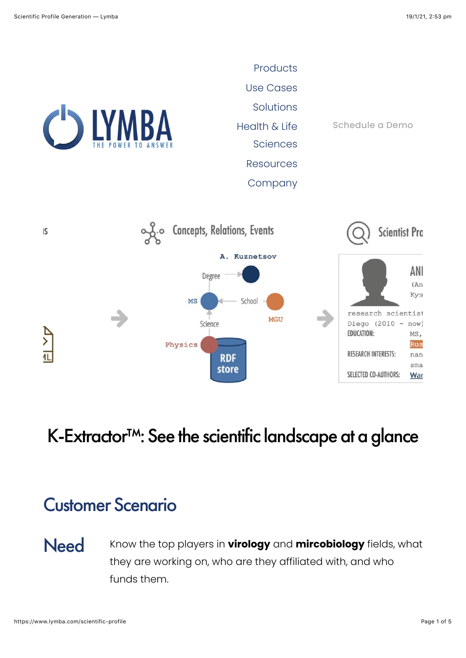

# K-Extractor<sup>™</sup>: See the scientific landscape at a glance

## Customer Scenario

Need Know the top players in **virology** and **mircobiology** fields, what they are working on, who are they affiliated with, and who funds them.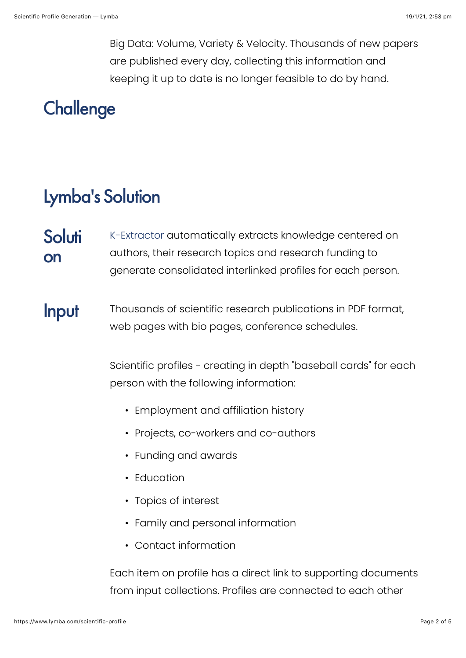Big Data: Volume, Variety & Velocity. Thousands of new papers are published every day, collecting this information and keeping it up to date is no longer feasible to do by hand.

# **Challenge**

### Lymba's Solution

**Soluti** on [K-Extractor](https://www.lymba.com/knowledge-extractor) automatically extracts knowledge centered on authors, their research topics and research funding to generate consolidated interlinked profiles for each person.

### Input Thousands of scientific research publications in PDF format, web pages with bio pages, conference schedules.

Scientific profiles - creating in depth "baseball cards" for each person with the following information:

- Employment and affiliation history
- Projects, co-workers and co-authors
- Funding and awards
- Education
- Topics of interest
- Family and personal information
- Contact information

Each item on profile has a direct link to supporting documents from input collections. Profiles are connected to each other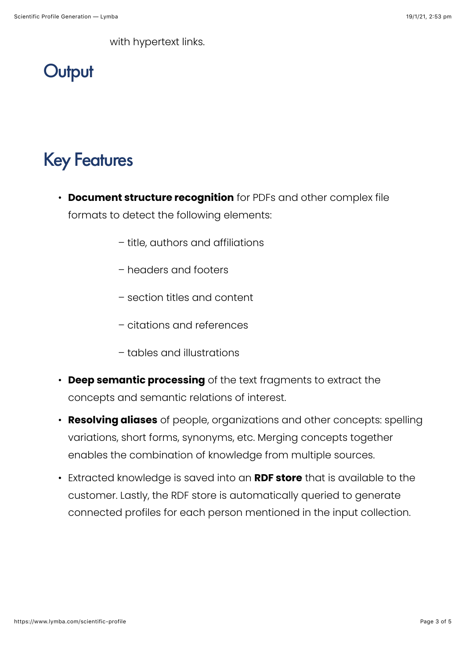with hypertext links.



# Key Features

- **Document structure recognition** for PDFs and other complex file formats to detect the following elements:
	- title, authors and affiliations
	- headers and footers
	- section titles and content
	- citations and references
	- tables and illustrations
- **Deep semantic processing** of the text fragments to extract the concepts and semantic relations of interest.
- **Resolving aliases** of people, organizations and other concepts: spelling variations, short forms, synonyms, etc. Merging concepts together enables the combination of knowledge from multiple sources.
- Extracted knowledge is saved into an **RDF store** that is available to the customer. Lastly, the RDF store is automatically queried to generate connected profiles for each person mentioned in the input collection.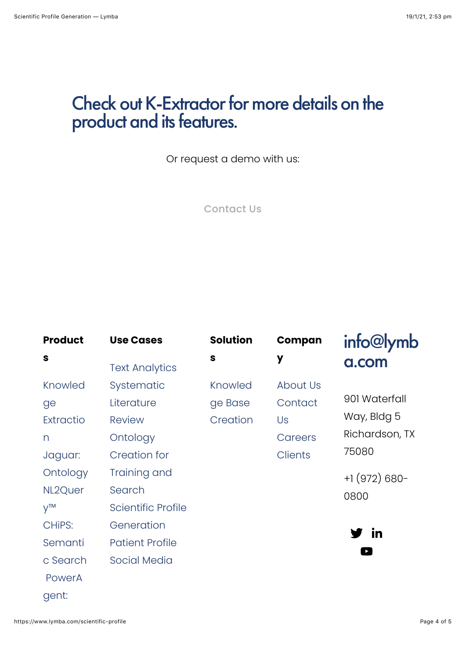### Check out [K-Extractor](https://www.lymba.com/knowledge-extractor) for more details on the product and its features.

Or request a demo with us:

[Contact Us](https://www.lymba.com/contact)

| <b>Product</b> | <b>Use Cases</b>          | <b>Solution</b> | Compan          | info@lymb             |
|----------------|---------------------------|-----------------|-----------------|-----------------------|
| S              | <b>Text Analytics</b>     | $\mathbf{s}$    | y               | a.com                 |
| Knowled        | Systematic                | Knowled         | <b>About Us</b> |                       |
| ge             | Literature                | ge Base         | Contact         | 901 Waterfall         |
| Extractio      | <b>Review</b>             | Creation        | Us              | Way, Bldg 5           |
| n              | Ontology                  |                 | Careers         | Richardson, TX        |
| Jaguar:        | <b>Creation for</b>       |                 | <b>Clients</b>  | 75080                 |
| Ontology       | Training and              |                 |                 | $+1(972)680-$         |
| NL2Quer        | Search                    |                 |                 | 0800                  |
| $V^{TM}$       | <b>Scientific Profile</b> |                 |                 |                       |
| CHIPS:         | Generation                |                 |                 |                       |
| Semanti        | <b>Patient Profile</b>    |                 |                 | / in                  |
| c Search       | <b>Social Media</b>       |                 |                 | $\blacktriangleright$ |
| PowerA         |                           |                 |                 |                       |
| gent:          |                           |                 |                 |                       |